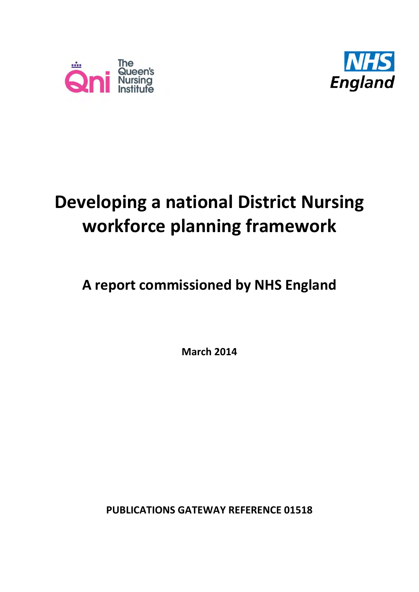



# **Developing a national District Nursing workforce planning framework**

# **A report commissioned by NHS England**

**March 2014**

**PUBLICATIONS GATEWAY REFERENCE 01518**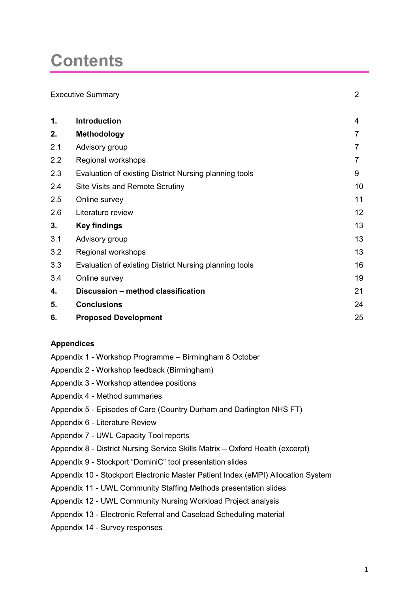# **Contents**

|               | <b>Executive Summary</b>                               | 2  |
|---------------|--------------------------------------------------------|----|
| $\mathbf 1$ . | <b>Introduction</b>                                    | 4  |
| 2.            | <b>Methodology</b>                                     | 7  |
| 2.1           | Advisory group                                         | 7  |
| 2.2           | Regional workshops                                     | 7  |
| 2.3           | Evaluation of existing District Nursing planning tools | 9  |
| 2.4           | Site Visits and Remote Scrutiny                        | 10 |
| 2.5           | Online survey                                          | 11 |
| 2.6           | Literature review                                      | 12 |
| 3.            | <b>Key findings</b>                                    | 13 |
| 3.1           | Advisory group                                         | 13 |
| 3.2           | Regional workshops                                     | 13 |
| 3.3           | Evaluation of existing District Nursing planning tools | 16 |
| 3.4           | Online survey                                          | 19 |
| 4.            | Discussion - method classification                     | 21 |
| 5.            | <b>Conclusions</b>                                     | 24 |
| 6.            | <b>Proposed Development</b>                            | 25 |
|               |                                                        |    |

### **Appendices**

- Appendix 1 Workshop Programme Birmingham 8 October
- Appendix 2 Workshop feedback (Birmingham)
- Appendix 3 Workshop attendee positions
- Appendix 4 Method summaries
- Appendix 5 Episodes of Care (Country Durham and Darlington NHS FT)
- Appendix 6 Literature Review
- Appendix 7 UWL Capacity Tool reports
- Appendix 8 District Nursing Service Skills Matrix Oxford Health (excerpt)
- Appendix 9 Stockport "DominiC" tool presentation slides
- Appendix 10 Stockport Electronic Master Patient Index (eMPI) Allocation System
- Appendix 11 UWL Community Staffing Methods presentation slides
- Appendix 12 UWL Community Nursing Workload Project analysis
- Appendix 13 Electronic Referral and Caseload Scheduling material
- Appendix 14 Survey responses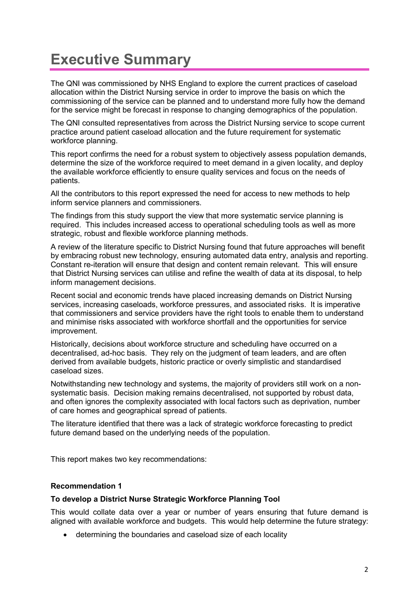# **Executive Summary**

The QNI was commissioned by NHS England to explore the current practices of caseload allocation within the District Nursing service in order to improve the basis on which the commissioning of the service can be planned and to understand more fully how the demand for the service might be forecast in response to changing demographics of the population.

The QNI consulted representatives from across the District Nursing service to scope current practice around patient caseload allocation and the future requirement for systematic workforce planning.

This report confirms the need for a robust system to objectively assess population demands, determine the size of the workforce required to meet demand in a given locality, and deploy the available workforce efficiently to ensure quality services and focus on the needs of patients.

All the contributors to this report expressed the need for access to new methods to help inform service planners and commissioners.

The findings from this study support the view that more systematic service planning is required. This includes increased access to operational scheduling tools as well as more strategic, robust and flexible workforce planning methods.

A review of the literature specific to District Nursing found that future approaches will benefit by embracing robust new technology, ensuring automated data entry, analysis and reporting. Constant re-iteration will ensure that design and content remain relevant. This will ensure that District Nursing services can utilise and refine the wealth of data at its disposal, to help inform management decisions.

Recent social and economic trends have placed increasing demands on District Nursing services, increasing caseloads, workforce pressures, and associated risks. It is imperative that commissioners and service providers have the right tools to enable them to understand and minimise risks associated with workforce shortfall and the opportunities for service improvement.

Historically, decisions about workforce structure and scheduling have occurred on a decentralised, ad-hoc basis. They rely on the judgment of team leaders, and are often derived from available budgets, historic practice or overly simplistic and standardised caseload sizes.

Notwithstanding new technology and systems, the majority of providers still work on a nonsystematic basis. Decision making remains decentralised, not supported by robust data, and often ignores the complexity associated with local factors such as deprivation, number of care homes and geographical spread of patients.

The literature identified that there was a lack of strategic workforce forecasting to predict future demand based on the underlying needs of the population.

This report makes two key recommendations:

### **Recommendation 1**

### **To develop a District Nurse Strategic Workforce Planning Tool**

This would collate data over a year or number of years ensuring that future demand is aligned with available workforce and budgets. This would help determine the future strategy:

determining the boundaries and caseload size of each locality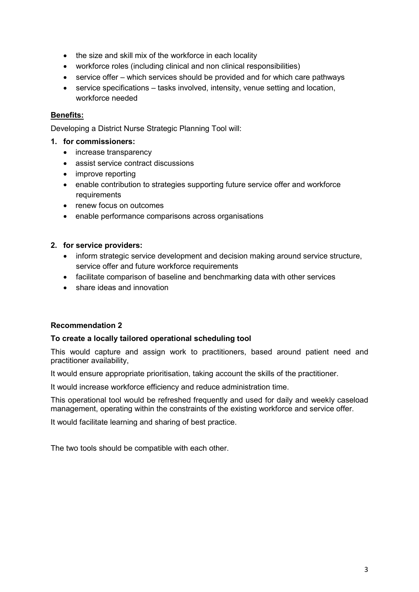- the size and skill mix of the workforce in each locality
- workforce roles (including clinical and non clinical responsibilities)
- service offer which services should be provided and for which care pathways
- service specifications tasks involved, intensity, venue setting and location, workforce needed

### **Benefits:**

Developing a District Nurse Strategic Planning Tool will:

#### **1. for commissioners:**

- increase transparency
- assist service contract discussions
- improve reporting
- enable contribution to strategies supporting future service offer and workforce requirements
- renew focus on outcomes
- enable performance comparisons across organisations

#### **2. for service providers:**

- inform strategic service development and decision making around service structure, service offer and future workforce requirements
- facilitate comparison of baseline and benchmarking data with other services
- share ideas and innovation

### **Recommendation 2**

#### **To create a locally tailored operational scheduling tool**

This would capture and assign work to practitioners, based around patient need and practitioner availability,

It would ensure appropriate prioritisation, taking account the skills of the practitioner.

It would increase workforce efficiency and reduce administration time.

This operational tool would be refreshed frequently and used for daily and weekly caseload management, operating within the constraints of the existing workforce and service offer.

It would facilitate learning and sharing of best practice.

The two tools should be compatible with each other.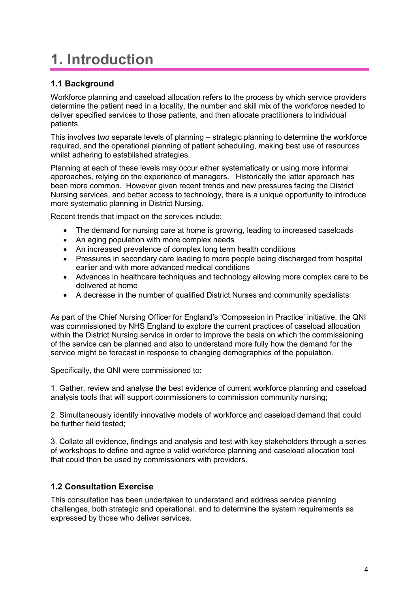# **1. Introduction**

### **1.1 Background**

Workforce planning and caseload allocation refers to the process by which service providers determine the patient need in a locality, the number and skill mix of the workforce needed to deliver specified services to those patients, and then allocate practitioners to individual patients.

This involves two separate levels of planning – strategic planning to determine the workforce required, and the operational planning of patient scheduling, making best use of resources whilst adhering to established strategies.

Planning at each of these levels may occur either systematically or using more informal approaches, relying on the experience of managers. Historically the latter approach has been more common. However given recent trends and new pressures facing the District Nursing services, and better access to technology, there is a unique opportunity to introduce more systematic planning in District Nursing.

Recent trends that impact on the services include:

- The demand for nursing care at home is growing, leading to increased caseloads
- An aging population with more complex needs
- An increased prevalence of complex long term health conditions
- Pressures in secondary care leading to more people being discharged from hospital earlier and with more advanced medical conditions
- Advances in healthcare techniques and technology allowing more complex care to be delivered at home
- A decrease in the number of qualified District Nurses and community specialists

As part of the Chief Nursing Officer for England's 'Compassion in Practice' initiative, the QNI was commissioned by NHS England to explore the current practices of caseload allocation within the District Nursing service in order to improve the basis on which the commissioning of the service can be planned and also to understand more fully how the demand for the service might be forecast in response to changing demographics of the population.

Specifically, the QNI were commissioned to:

1. Gather, review and analyse the best evidence of current workforce planning and caseload analysis tools that will support commissioners to commission community nursing;

2. Simultaneously identify innovative models of workforce and caseload demand that could be further field tested;

3. Collate all evidence, findings and analysis and test with key stakeholders through a series of workshops to define and agree a valid workforce planning and caseload allocation tool that could then be used by commissioners with providers.

### **1.2 Consultation Exercise**

This consultation has been undertaken to understand and address service planning challenges, both strategic and operational, and to determine the system requirements as expressed by those who deliver services.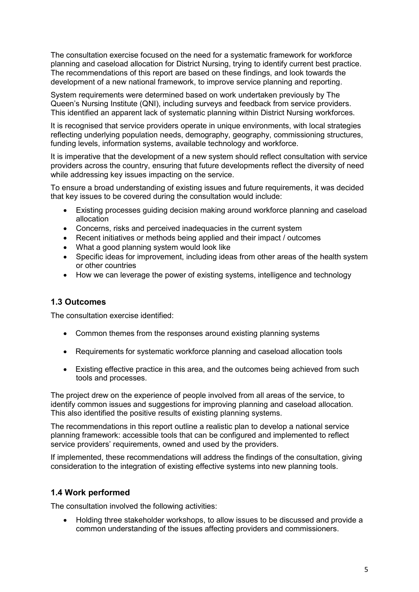The consultation exercise focused on the need for a systematic framework for workforce planning and caseload allocation for District Nursing, trying to identify current best practice. The recommendations of this report are based on these findings, and look towards the development of a new national framework, to improve service planning and reporting.

System requirements were determined based on work undertaken previously by The Queen's Nursing Institute (QNI), including surveys and feedback from service providers. This identified an apparent lack of systematic planning within District Nursing workforces.

It is recognised that service providers operate in unique environments, with local strategies reflecting underlying population needs, demography, geography, commissioning structures, funding levels, information systems, available technology and workforce.

It is imperative that the development of a new system should reflect consultation with service providers across the country, ensuring that future developments reflect the diversity of need while addressing key issues impacting on the service.

To ensure a broad understanding of existing issues and future requirements, it was decided that key issues to be covered during the consultation would include:

- Existing processes guiding decision making around workforce planning and caseload allocation
- Concerns, risks and perceived inadequacies in the current system
- Recent initiatives or methods being applied and their impact / outcomes
- What a good planning system would look like
- Specific ideas for improvement, including ideas from other areas of the health system or other countries
- How we can leverage the power of existing systems, intelligence and technology

### **1.3 Outcomes**

The consultation exercise identified:

- Common themes from the responses around existing planning systems
- Requirements for systematic workforce planning and caseload allocation tools
- Existing effective practice in this area, and the outcomes being achieved from such tools and processes.

The project drew on the experience of people involved from all areas of the service, to identify common issues and suggestions for improving planning and caseload allocation. This also identified the positive results of existing planning systems.

The recommendations in this report outline a realistic plan to develop a national service planning framework: accessible tools that can be configured and implemented to reflect service providers' requirements, owned and used by the providers.

If implemented, these recommendations will address the findings of the consultation, giving consideration to the integration of existing effective systems into new planning tools.

### **1.4 Work performed**

The consultation involved the following activities:

 Holding three stakeholder workshops, to allow issues to be discussed and provide a common understanding of the issues affecting providers and commissioners.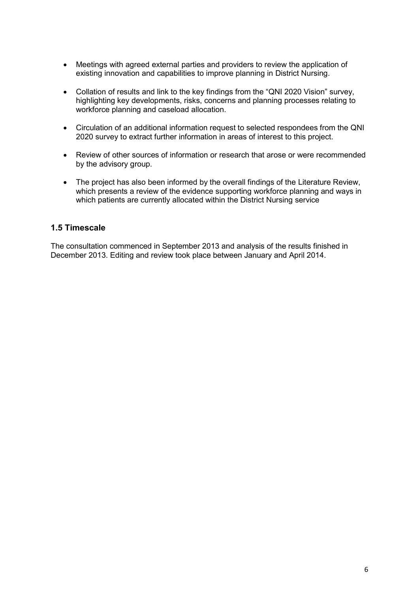- Meetings with agreed external parties and providers to review the application of existing innovation and capabilities to improve planning in District Nursing.
- Collation of results and link to the key findings from the "QNI 2020 Vision" survey, highlighting key developments, risks, concerns and planning processes relating to workforce planning and caseload allocation.
- Circulation of an additional information request to selected respondees from the QNI 2020 survey to extract further information in areas of interest to this project.
- Review of other sources of information or research that arose or were recommended by the advisory group.
- The project has also been informed by the overall findings of the Literature Review, which presents a review of the evidence supporting workforce planning and ways in which patients are currently allocated within the District Nursing service

### **1.5 Timescale**

The consultation commenced in September 2013 and analysis of the results finished in December 2013. Editing and review took place between January and April 2014.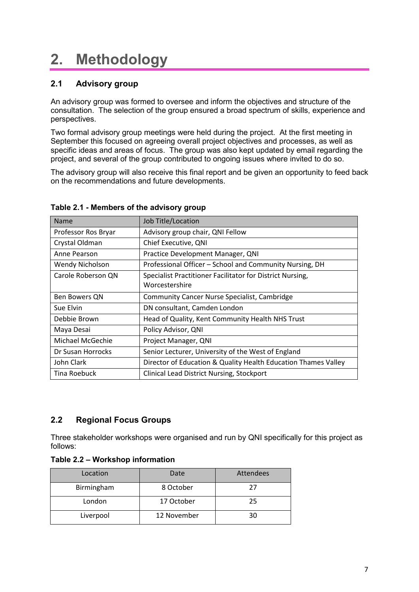# **2. Methodology**

### **2.1 Advisory group**

An advisory group was formed to oversee and inform the objectives and structure of the consultation. The selection of the group ensured a broad spectrum of skills, experience and perspectives.

Two formal advisory group meetings were held during the project. At the first meeting in September this focused on agreeing overall project objectives and processes, as well as specific ideas and areas of focus. The group was also kept updated by email regarding the project, and several of the group contributed to ongoing issues where invited to do so.

The advisory group will also receive this final report and be given an opportunity to feed back on the recommendations and future developments.

| <b>Name</b>         | Job Title/Location                                             |
|---------------------|----------------------------------------------------------------|
| Professor Ros Bryar | Advisory group chair, QNI Fellow                               |
| Crystal Oldman      | Chief Executive, QNI                                           |
| Anne Pearson        | Practice Development Manager, QNI                              |
| Wendy Nicholson     | Professional Officer - School and Community Nursing, DH        |
| Carole Roberson QN  | Specialist Practitioner Facilitator for District Nursing,      |
|                     | Worcestershire                                                 |
| Ben Bowers QN       | <b>Community Cancer Nurse Specialist, Cambridge</b>            |
| Sue Elvin           | DN consultant, Camden London                                   |
| Debbie Brown        | Head of Quality, Kent Community Health NHS Trust               |
| Maya Desai          | Policy Advisor, QNI                                            |
| Michael McGechie    | Project Manager, QNI                                           |
| Dr Susan Horrocks   | Senior Lecturer, University of the West of England             |
| John Clark          | Director of Education & Quality Health Education Thames Valley |
| Tina Roebuck        | <b>Clinical Lead District Nursing, Stockport</b>               |

### **Table 2.1 - Members of the advisory group**

### **2.2 Regional Focus Groups**

Three stakeholder workshops were organised and run by QNI specifically for this project as follows:

|  |  | Table 2.2 – Workshop information |
|--|--|----------------------------------|
|--|--|----------------------------------|

| Location   | Date        | Attendees |
|------------|-------------|-----------|
| Birmingham | 8 October   | 27        |
| London     | 17 October  | 25        |
| Liverpool  | 12 November | 30        |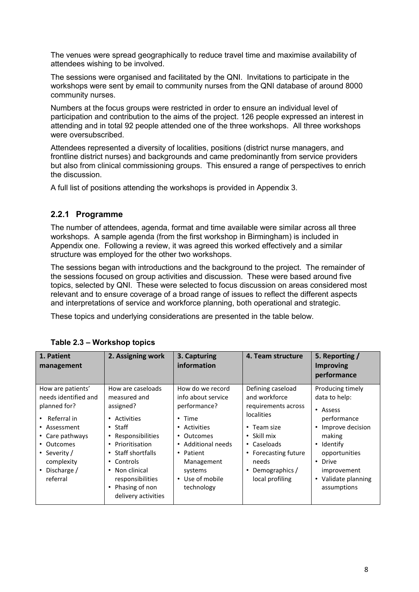The venues were spread geographically to reduce travel time and maximise availability of attendees wishing to be involved.

The sessions were organised and facilitated by the QNI. Invitations to participate in the workshops were sent by email to community nurses from the QNI database of around 8000 community nurses.

Numbers at the focus groups were restricted in order to ensure an individual level of participation and contribution to the aims of the project. 126 people expressed an interest in attending and in total 92 people attended one of the three workshops. All three workshops were oversubscribed.

Attendees represented a diversity of localities, positions (district nurse managers, and frontline district nurses) and backgrounds and came predominantly from service providers but also from clinical commissioning groups. This ensured a range of perspectives to enrich the discussion.

A full list of positions attending the workshops is provided in Appendix 3.

### **2.2.1 Programme**

The number of attendees, agenda, format and time available were similar across all three workshops. A sample agenda (from the first workshop in Birmingham) is included in Appendix one. Following a review, it was agreed this worked effectively and a similar structure was employed for the other two workshops.

The sessions began with introductions and the background to the project. The remainder of the sessions focused on group activities and discussion. These were based around five topics, selected by QNI. These were selected to focus discussion on areas considered most relevant and to ensure coverage of a broad range of issues to reflect the different aspects and interpretations of service and workforce planning, both operational and strategic.

These topics and underlying considerations are presented in the table below.

| 1. Patient<br>management                                                                                                                                                                        | 2. Assigning work                                                                                                                                                                                                                                                    | 3. Capturing<br>information                                                                                                                                                                       | 4. Team structure                                                                                                                                                                                                          | 5. Reporting /<br><b>Improving</b><br>performance                                                                                                                                                                            |
|-------------------------------------------------------------------------------------------------------------------------------------------------------------------------------------------------|----------------------------------------------------------------------------------------------------------------------------------------------------------------------------------------------------------------------------------------------------------------------|---------------------------------------------------------------------------------------------------------------------------------------------------------------------------------------------------|----------------------------------------------------------------------------------------------------------------------------------------------------------------------------------------------------------------------------|------------------------------------------------------------------------------------------------------------------------------------------------------------------------------------------------------------------------------|
| How are patients'<br>needs identified and<br>planned for?<br>Referral in<br>• Assessment<br>• Care pathways<br>• Outcomes<br>• Severity /<br>complexity<br>Discharge /<br>$\bullet$<br>referral | How are caseloads<br>measured and<br>assigned?<br>• Activities<br>$\cdot$ Staff<br>• Responsibilities<br>• Prioritisation<br>• Staff shortfalls<br>Controls<br>$\bullet$<br>Non clinical<br>$\bullet$<br>responsibilities<br>• Phasing of non<br>delivery activities | How do we record<br>info about service<br>performance?<br>$\cdot$ Time<br>• Activities<br>• Outcomes<br>• Additional needs<br>• Patient<br>Management<br>systems<br>• Use of mobile<br>technology | Defining caseload<br>and workforce<br>requirements across<br><i>localities</i><br>$\cdot$ Team size<br>$\cdot$ Skill mix<br>• Caseloads<br>• Forecasting future<br>needs<br>Demographics /<br>$\bullet$<br>local profiling | Producing timely<br>data to help:<br>• Assess<br>performance<br>Improve decision<br>$\bullet$<br>making<br>Identify<br>$\bullet$<br>opportunities<br>• Drive<br>improvement<br>Validate planning<br>$\bullet$<br>assumptions |

### **Table 2.3 – Workshop topics**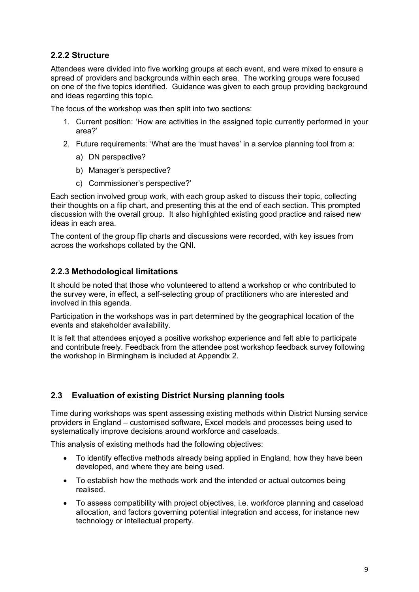### **2.2.2 Structure**

Attendees were divided into five working groups at each event, and were mixed to ensure a spread of providers and backgrounds within each area. The working groups were focused on one of the five topics identified. Guidance was given to each group providing background and ideas regarding this topic.

The focus of the workshop was then split into two sections:

- 1. Current position: 'How are activities in the assigned topic currently performed in your area?'
- 2. Future requirements: 'What are the 'must haves' in a service planning tool from a:
	- a) DN perspective?
	- b) Manager's perspective?
	- c) Commissioner's perspective?'

Each section involved group work, with each group asked to discuss their topic, collecting their thoughts on a flip chart, and presenting this at the end of each section. This prompted discussion with the overall group. It also highlighted existing good practice and raised new ideas in each area.

The content of the group flip charts and discussions were recorded, with key issues from across the workshops collated by the QNI.

### **2.2.3 Methodological limitations**

It should be noted that those who volunteered to attend a workshop or who contributed to the survey were, in effect, a self-selecting group of practitioners who are interested and involved in this agenda.

Participation in the workshops was in part determined by the geographical location of the events and stakeholder availability.

It is felt that attendees enjoyed a positive workshop experience and felt able to participate and contribute freely. Feedback from the attendee post workshop feedback survey following the workshop in Birmingham is included at Appendix 2.

### **2.3 Evaluation of existing District Nursing planning tools**

Time during workshops was spent assessing existing methods within District Nursing service providers in England – customised software, Excel models and processes being used to systematically improve decisions around workforce and caseloads.

This analysis of existing methods had the following objectives:

- To identify effective methods already being applied in England, how they have been developed, and where they are being used.
- To establish how the methods work and the intended or actual outcomes being realised.
- To assess compatibility with project objectives, i.e. workforce planning and caseload allocation, and factors governing potential integration and access, for instance new technology or intellectual property.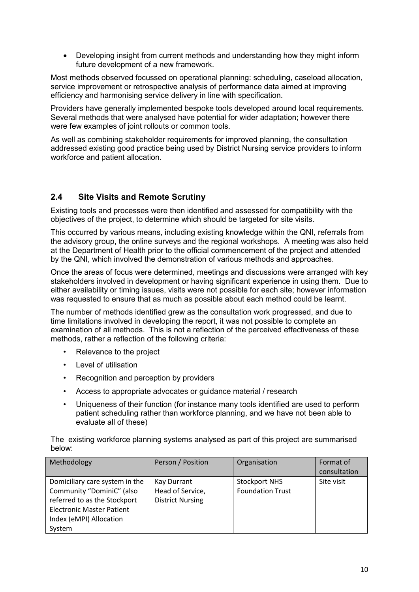Developing insight from current methods and understanding how they might inform future development of a new framework.

Most methods observed focussed on operational planning: scheduling, caseload allocation, service improvement or retrospective analysis of performance data aimed at improving efficiency and harmonising service delivery in line with specification.

Providers have generally implemented bespoke tools developed around local requirements. Several methods that were analysed have potential for wider adaptation; however there were few examples of joint rollouts or common tools.

As well as combining stakeholder requirements for improved planning, the consultation addressed existing good practice being used by District Nursing service providers to inform workforce and patient allocation.

### **2.4 Site Visits and Remote Scrutiny**

Existing tools and processes were then identified and assessed for compatibility with the objectives of the project, to determine which should be targeted for site visits.

This occurred by various means, including existing knowledge within the QNI, referrals from the advisory group, the online surveys and the regional workshops. A meeting was also held at the Department of Health prior to the official commencement of the project and attended by the QNI, which involved the demonstration of various methods and approaches.

Once the areas of focus were determined, meetings and discussions were arranged with key stakeholders involved in development or having significant experience in using them. Due to either availability or timing issues, visits were not possible for each site; however information was requested to ensure that as much as possible about each method could be learnt.

The number of methods identified grew as the consultation work progressed, and due to time limitations involved in developing the report, it was not possible to complete an examination of all methods. This is not a reflection of the perceived effectiveness of these methods, rather a reflection of the following criteria:

- Relevance to the project
- Level of utilisation
- Recognition and perception by providers
- Access to appropriate advocates or guidance material / research
- Uniqueness of their function (for instance many tools identified are used to perform patient scheduling rather than workforce planning, and we have not been able to evaluate all of these)

The existing workforce planning systems analysed as part of this project are summarised below:

| Methodology                      | Person / Position       | Organisation            | Format of    |
|----------------------------------|-------------------------|-------------------------|--------------|
|                                  |                         |                         | consultation |
| Domiciliary care system in the   | Kay Durrant             | <b>Stockport NHS</b>    | Site visit   |
| Community "DominiC" (also        | Head of Service,        | <b>Foundation Trust</b> |              |
| referred to as the Stockport     | <b>District Nursing</b> |                         |              |
| <b>Electronic Master Patient</b> |                         |                         |              |
| Index (eMPI) Allocation          |                         |                         |              |
| System                           |                         |                         |              |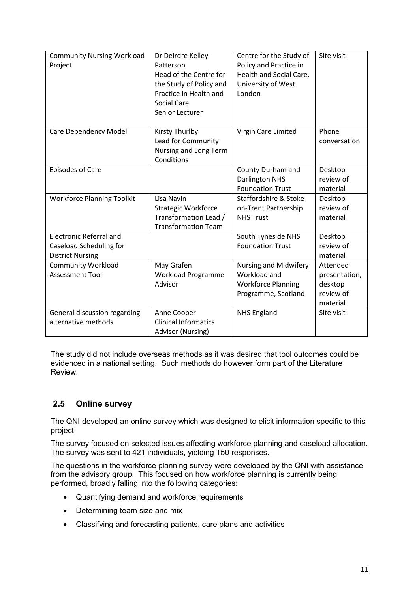| <b>Community Nursing Workload</b><br>Project                                         | Dr Deirdre Kelley-<br>Patterson<br>Head of the Centre for<br>the Study of Policy and<br>Practice in Health and<br><b>Social Care</b><br>Senior Lecturer | Centre for the Study of<br>Policy and Practice in<br>Health and Social Care,<br>University of West<br>London | Site visit                                                    |
|--------------------------------------------------------------------------------------|---------------------------------------------------------------------------------------------------------------------------------------------------------|--------------------------------------------------------------------------------------------------------------|---------------------------------------------------------------|
| <b>Care Dependency Model</b>                                                         | Kirsty Thurlby<br>Lead for Community<br>Nursing and Long Term<br>Conditions                                                                             | Virgin Care Limited                                                                                          | Phone<br>conversation                                         |
| <b>Episodes of Care</b>                                                              |                                                                                                                                                         | County Durham and<br><b>Darlington NHS</b><br><b>Foundation Trust</b>                                        | Desktop<br>review of<br>material                              |
| <b>Workforce Planning Toolkit</b>                                                    | Lisa Navin<br><b>Strategic Workforce</b><br>Transformation Lead /<br><b>Transformation Team</b>                                                         | Staffordshire & Stoke-<br>on-Trent Partnership<br><b>NHS Trust</b>                                           | Desktop<br>review of<br>material                              |
| <b>Electronic Referral and</b><br>Caseload Scheduling for<br><b>District Nursing</b> |                                                                                                                                                         | South Tyneside NHS<br><b>Foundation Trust</b>                                                                | Desktop<br>review of<br>material                              |
| <b>Community Workload</b><br><b>Assessment Tool</b>                                  | May Grafen<br>Workload Programme<br>Advisor                                                                                                             | Nursing and Midwifery<br>Workload and<br><b>Workforce Planning</b><br>Programme, Scotland                    | Attended<br>presentation,<br>desktop<br>review of<br>material |
| General discussion regarding<br>alternative methods                                  | Anne Cooper<br><b>Clinical Informatics</b><br>Advisor (Nursing)                                                                                         | <b>NHS England</b>                                                                                           | Site visit                                                    |

The study did not include overseas methods as it was desired that tool outcomes could be evidenced in a national setting. Such methods do however form part of the Literature Review.

# **2.5 Online survey**

The QNI developed an online survey which was designed to elicit information specific to this project.

The survey focused on selected issues affecting workforce planning and caseload allocation. The survey was sent to 421 individuals, yielding 150 responses.

The questions in the workforce planning survey were developed by the QNI with assistance from the advisory group. This focused on how workforce planning is currently being performed, broadly falling into the following categories:

- Quantifying demand and workforce requirements
- Determining team size and mix
- Classifying and forecasting patients, care plans and activities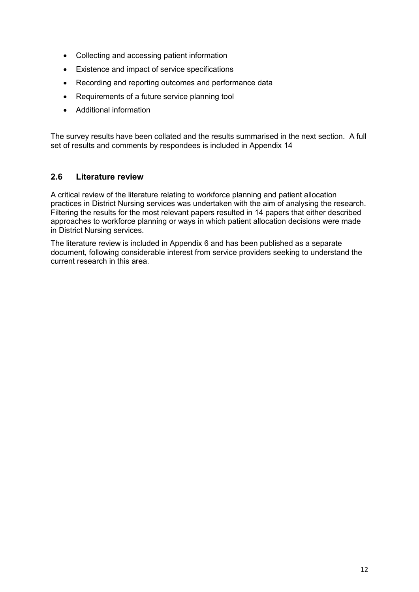- Collecting and accessing patient information
- Existence and impact of service specifications
- Recording and reporting outcomes and performance data
- Requirements of a future service planning tool
- Additional information

The survey results have been collated and the results summarised in the next section. A full set of results and comments by respondees is included in Appendix 14

### **2.6 Literature review**

A critical review of the literature relating to workforce planning and patient allocation practices in District Nursing services was undertaken with the aim of analysing the research. Filtering the results for the most relevant papers resulted in 14 papers that either described approaches to workforce planning or ways in which patient allocation decisions were made in District Nursing services.

The literature review is included in Appendix 6 and has been published as a separate document, following considerable interest from service providers seeking to understand the current research in this area.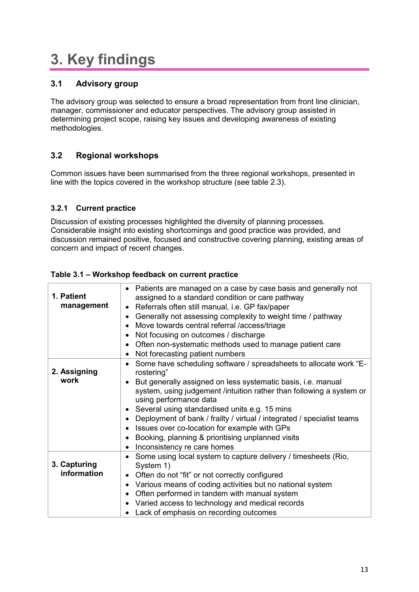# **3. Key findings**

## **3.1 Advisory group**

The advisory group was selected to ensure a broad representation from front line clinician, manager, commissioner and educator perspectives. The advisory group assisted in determining project scope, raising key issues and developing awareness of existing methodologies.

# **3.2 Regional workshops**

Common issues have been summarised from the three regional workshops, presented in line with the topics covered in the workshop structure (see table 2.3).

### **3.2.1 Current practice**

Discussion of existing processes highlighted the diversity of planning processes. Considerable insight into existing shortcomings and good practice was provided, and discussion remained positive, focused and constructive covering planning, existing areas of concern and impact of recent changes.

| 1. Patient<br>management    | Patients are managed on a case by case basis and generally not<br>$\bullet$<br>assigned to a standard condition or care pathway<br>Referrals often still manual, i.e. GP fax/paper<br>$\bullet$<br>Generally not assessing complexity to weight time / pathway<br>$\bullet$<br>Move towards central referral /access/triage<br>$\bullet$<br>Not focusing on outcomes / discharge<br>٠<br>Often non-systematic methods used to manage patient care<br>٠<br>Not forecasting patient numbers<br>٠                                                                                              |
|-----------------------------|---------------------------------------------------------------------------------------------------------------------------------------------------------------------------------------------------------------------------------------------------------------------------------------------------------------------------------------------------------------------------------------------------------------------------------------------------------------------------------------------------------------------------------------------------------------------------------------------|
| 2. Assigning<br>work        | Some have scheduling software / spreadsheets to allocate work "E-<br>$\bullet$<br>rostering"<br>But generally assigned on less systematic basis, i.e. manual<br>$\bullet$<br>system, using judgement /intuition rather than following a system or<br>using performance data<br>Several using standardised units e.g. 15 mins<br>$\bullet$<br>Deployment of bank / frailty / virtual / integrated / specialist teams<br>$\bullet$<br>Issues over co-location for example with GPs<br>٠<br>Booking, planning & prioritising unplanned visits<br>٠<br>Inconsistency re care homes<br>$\bullet$ |
| 3. Capturing<br>information | Some using local system to capture delivery / timesheets (Rio,<br>$\bullet$<br>System 1)<br>Often do not "fit" or not correctly configured<br>$\bullet$<br>Various means of coding activities but no national system<br>٠<br>Often performed in tandem with manual system<br>$\bullet$<br>Varied access to technology and medical records<br>٠<br>Lack of emphasis on recording outcomes                                                                                                                                                                                                    |

### **Table 3.1 – Workshop feedback on current practice**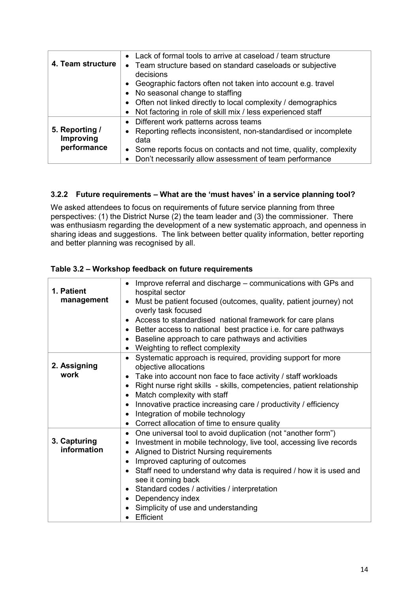| 4. Team structure           | • Lack of formal tools to arrive at caseload / team structure<br>• Team structure based on standard caseloads or subjective<br>decisions |
|-----------------------------|------------------------------------------------------------------------------------------------------------------------------------------|
|                             | Geographic factors often not taken into account e.g. travel<br>$\bullet$                                                                 |
|                             | • No seasonal change to staffing                                                                                                         |
|                             | • Often not linked directly to local complexity / demographics                                                                           |
|                             | Not factoring in role of skill mix / less experienced staff<br>$\bullet$                                                                 |
|                             | • Different work patterns across teams                                                                                                   |
| 5. Reporting /<br>Improving | Reporting reflects inconsistent, non-standardised or incomplete<br>$\bullet$<br>data                                                     |
| performance                 | • Some reports focus on contacts and not time, quality, complexity                                                                       |
|                             | Don't necessarily allow assessment of team performance<br>$\bullet$                                                                      |

### **3.2.2 Future requirements – What are the 'must haves' in a service planning tool?**

We asked attendees to focus on requirements of future service planning from three perspectives: (1) the District Nurse (2) the team leader and (3) the commissioner. There was enthusiasm regarding the development of a new systematic approach, and openness in sharing ideas and suggestions. The link between better quality information, better reporting and better planning was recognised by all.

### **Table 3.2 – Workshop feedback on future requirements**

| 1. Patient<br>management    | Improve referral and discharge – communications with GPs and<br>$\bullet$<br>hospital sector<br>Must be patient focused (outcomes, quality, patient journey) not<br>$\bullet$<br>overly task focused<br>Access to standardised national framework for care plans<br>$\bullet$<br>Better access to national best practice i.e. for care pathways<br>$\bullet$<br>Baseline approach to care pathways and activities<br>$\bullet$<br>Weighting to reflect complexity<br>$\bullet$                                                                            |
|-----------------------------|-----------------------------------------------------------------------------------------------------------------------------------------------------------------------------------------------------------------------------------------------------------------------------------------------------------------------------------------------------------------------------------------------------------------------------------------------------------------------------------------------------------------------------------------------------------|
| 2. Assigning<br>work        | Systematic approach is required, providing support for more<br>$\bullet$<br>objective allocations<br>Take into account non face to face activity / staff workloads<br>$\bullet$<br>Right nurse right skills - skills, competencies, patient relationship<br>$\bullet$<br>Match complexity with staff<br>$\bullet$<br>Innovative practice increasing care / productivity / efficiency<br>$\bullet$<br>Integration of mobile technology<br>$\bullet$<br>Correct allocation of time to ensure quality<br>$\bullet$                                           |
| 3. Capturing<br>information | One universal tool to avoid duplication (not "another form")<br>$\bullet$<br>Investment in mobile technology, live tool, accessing live records<br>$\bullet$<br>Aligned to District Nursing requirements<br>$\bullet$<br>Improved capturing of outcomes<br>$\bullet$<br>Staff need to understand why data is required / how it is used and<br>$\bullet$<br>see it coming back<br>Standard codes / activities / interpretation<br>$\bullet$<br>Dependency index<br>$\bullet$<br>Simplicity of use and understanding<br>$\bullet$<br>Efficient<br>$\bullet$ |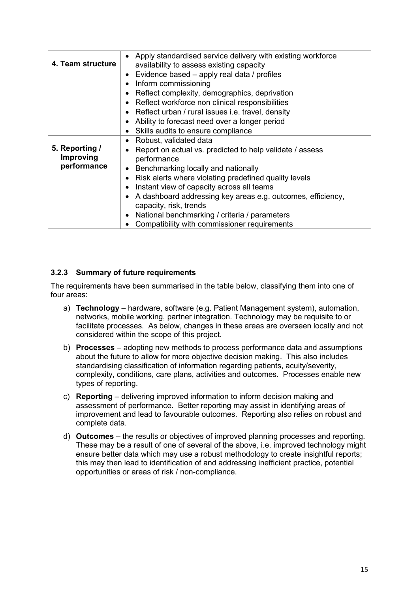| 4. Team structure | Apply standardised service delivery with existing workforce<br>$\bullet$<br>availability to assess existing capacity |
|-------------------|----------------------------------------------------------------------------------------------------------------------|
|                   | Evidence based - apply real data / profiles<br>$\bullet$                                                             |
|                   | Inform commissioning<br>$\bullet$                                                                                    |
|                   | Reflect complexity, demographics, deprivation<br>$\bullet$                                                           |
|                   | Reflect workforce non clinical responsibilities<br>$\bullet$                                                         |
|                   | Reflect urban / rural issues i.e. travel, density<br>$\bullet$                                                       |
|                   | Ability to forecast need over a longer period<br>$\bullet$                                                           |
|                   | Skills audits to ensure compliance<br>٠                                                                              |
|                   | Robust, validated data<br>$\bullet$                                                                                  |
| 5. Reporting /    | Report on actual vs. predicted to help validate / assess<br>$\bullet$                                                |
| Improving         | performance                                                                                                          |
| performance       | Benchmarking locally and nationally<br>$\bullet$                                                                     |
|                   | Risk alerts where violating predefined quality levels<br>٠                                                           |
|                   | Instant view of capacity across all teams<br>٠                                                                       |
|                   | A dashboard addressing key areas e.g. outcomes, efficiency,<br>$\bullet$                                             |
|                   | capacity, risk, trends                                                                                               |
|                   | National benchmarking / criteria / parameters<br>$\bullet$                                                           |
|                   | Compatibility with commissioner requirements                                                                         |
|                   |                                                                                                                      |

### **3.2.3 Summary of future requirements**

The requirements have been summarised in the table below, classifying them into one of four areas:

- a) **Technology** hardware, software (e.g. Patient Management system), automation, networks, mobile working, partner integration. Technology may be requisite to or facilitate processes. As below, changes in these areas are overseen locally and not considered within the scope of this project.
- b) **Processes** adopting new methods to process performance data and assumptions about the future to allow for more objective decision making. This also includes standardising classification of information regarding patients, acuity/severity, complexity, conditions, care plans, activities and outcomes. Processes enable new types of reporting.
- c) **Reporting** delivering improved information to inform decision making and assessment of performance. Better reporting may assist in identifying areas of improvement and lead to favourable outcomes. Reporting also relies on robust and complete data.
- d) **Outcomes** the results or objectives of improved planning processes and reporting. These may be a result of one of several of the above, i.e. improved technology might ensure better data which may use a robust methodology to create insightful reports; this may then lead to identification of and addressing inefficient practice, potential opportunities or areas of risk / non-compliance.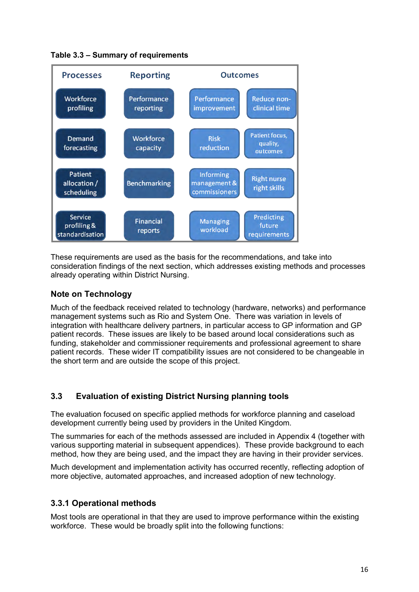

**Table 3.3 – Summary of requirements** 

These requirements are used as the basis for the recommendations, and take into consideration findings of the next section, which addresses existing methods and processes already operating within District Nursing.

### **Note on Technology**

Much of the feedback received related to technology (hardware, networks) and performance management systems such as Rio and System One. There was variation in levels of integration with healthcare delivery partners, in particular access to GP information and GP patient records. These issues are likely to be based around local considerations such as funding, stakeholder and commissioner requirements and professional agreement to share patient records. These wider IT compatibility issues are not considered to be changeable in the short term and are outside the scope of this project.

### **3.3 Evaluation of existing District Nursing planning tools**

The evaluation focused on specific applied methods for workforce planning and caseload development currently being used by providers in the United Kingdom.

The summaries for each of the methods assessed are included in Appendix 4 (together with various supporting material in subsequent appendices). These provide background to each method, how they are being used, and the impact they are having in their provider services.

Much development and implementation activity has occurred recently, reflecting adoption of more objective, automated approaches, and increased adoption of new technology.

### **3.3.1 Operational methods**

Most tools are operational in that they are used to improve performance within the existing workforce. These would be broadly split into the following functions: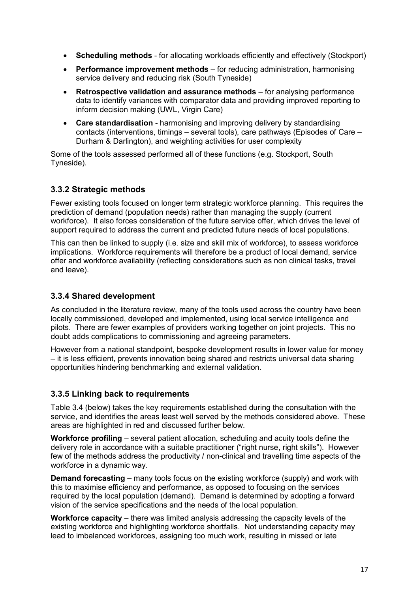- **Scheduling methods** for allocating workloads efficiently and effectively (Stockport)
- **Performance improvement methods** for reducing administration, harmonising service delivery and reducing risk (South Tyneside)
- **Retrospective validation and assurance methods** for analysing performance data to identify variances with comparator data and providing improved reporting to inform decision making (UWL, Virgin Care)
- **Care standardisation** harmonising and improving delivery by standardising contacts (interventions, timings – several tools), care pathways (Episodes of Care – Durham & Darlington), and weighting activities for user complexity

Some of the tools assessed performed all of these functions (e.g. Stockport, South Tyneside).

## **3.3.2 Strategic methods**

Fewer existing tools focused on longer term strategic workforce planning. This requires the prediction of demand (population needs) rather than managing the supply (current workforce). It also forces consideration of the future service offer, which drives the level of support required to address the current and predicted future needs of local populations.

This can then be linked to supply (i.e. size and skill mix of workforce), to assess workforce implications. Workforce requirements will therefore be a product of local demand, service offer and workforce availability (reflecting considerations such as non clinical tasks, travel and leave).

### **3.3.4 Shared development**

As concluded in the literature review, many of the tools used across the country have been locally commissioned, developed and implemented, using local service intelligence and pilots. There are fewer examples of providers working together on joint projects. This no doubt adds complications to commissioning and agreeing parameters.

However from a national standpoint, bespoke development results in lower value for money – it is less efficient, prevents innovation being shared and restricts universal data sharing opportunities hindering benchmarking and external validation.

### **3.3.5 Linking back to requirements**

Table 3.4 (below) takes the key requirements established during the consultation with the service, and identifies the areas least well served by the methods considered above. These areas are highlighted in red and discussed further below.

**Workforce profiling** – several patient allocation, scheduling and acuity tools define the delivery role in accordance with a suitable practitioner ("right nurse, right skills"). However few of the methods address the productivity / non-clinical and travelling time aspects of the workforce in a dynamic way.

**Demand forecasting** – many tools focus on the existing workforce (supply) and work with this to maximise efficiency and performance, as opposed to focusing on the services required by the local population (demand). Demand is determined by adopting a forward vision of the service specifications and the needs of the local population.

**Workforce capacity** – there was limited analysis addressing the capacity levels of the existing workforce and highlighting workforce shortfalls. Not understanding capacity may lead to imbalanced workforces, assigning too much work, resulting in missed or late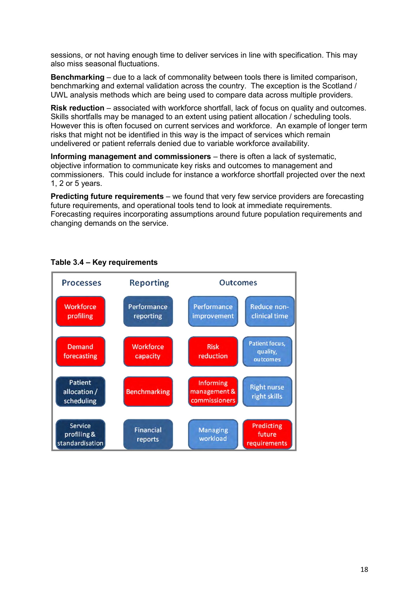sessions, or not having enough time to deliver services in line with specification. This may also miss seasonal fluctuations.

**Benchmarking** – due to a lack of commonality between tools there is limited comparison, benchmarking and external validation across the country. The exception is the Scotland / UWL analysis methods which are being used to compare data across multiple providers.

**Risk reduction** – associated with workforce shortfall, lack of focus on quality and outcomes. Skills shortfalls may be managed to an extent using patient allocation / scheduling tools. However this is often focused on current services and workforce. An example of longer term risks that might not be identified in this way is the impact of services which remain undelivered or patient referrals denied due to variable workforce availability.

**Informing management and commissioners** – there is often a lack of systematic, objective information to communicate key risks and outcomes to management and commissioners. This could include for instance a workforce shortfall projected over the next 1, 2 or 5 years.

**Predicting future requirements** – we found that very few service providers are forecasting future requirements, and operational tools tend to look at immediate requirements. Forecasting requires incorporating assumptions around future population requirements and changing demands on the service.



## **Table 3.4 – Key requirements**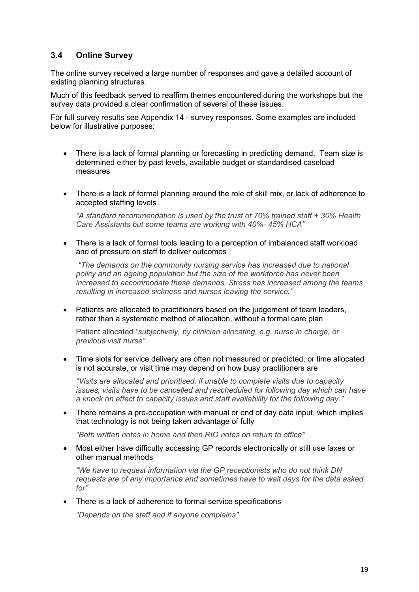### **3.4 Online Survey**

The online survey received a large number of responses and gave a detailed account of existing planning structures.

Much of this feedback served to reaffirm themes encountered during the workshops but the survey data provided a clear confirmation of several of these issues.

For full survey results see Appendix 14 - survey responses. Some examples are included below for illustrative purposes:

- There is a lack of formal planning or forecasting in predicting demand. Team size is determined either by past levels, available budget or standardised caseload measures
- There is a lack of formal planning around the role of skill mix, or lack of adherence to accepted staffing levels

*"A standard recommendation is used by the trust of 70% trained staff + 30% Health Care Assistants but some teams are working with 40%- 45% HCA"* 

 There is a lack of formal tools leading to a perception of imbalanced staff workload and of pressure on staff to deliver outcomes

 *"The demands on the community nursing service has increased due to national policy and an ageing population but the size of the workforce has never been increased to accommodate these demands. Stress has increased among the teams resulting in increased sickness and nurses leaving the service."* 

 Patients are allocated to practitioners based on the judgement of team leaders, rather than a systematic method of allocation, without a formal care plan

Patient allocated *"subjectively, by clinician allocating, e.g. nurse in charge, or previous visit nurse"* 

 Time slots for service delivery are often not measured or predicted, or time allocated is not accurate, or visit time may depend on how busy practitioners are

*"Visits are allocated and prioritised, if unable to complete visits due to capacity issues, visits have to be cancelled and rescheduled for following day which can have a knock on effect to capacity issues and staff availability for the following day."* 

 There remains a pre-occupation with manual or end of day data input, which implies that technology is not being taken advantage of fully

*"Both written notes in home and then RIO notes on return to office"* 

 Most either have difficulty accessing GP records electronically or still use faxes or other manual methods

*"We have to request information via the GP receptionists who do not think DN requests are of any importance and sometimes have to wait days for the data asked for"*

• There is a lack of adherence to formal service specifications

*"Depends on the staff and if anyone complains"*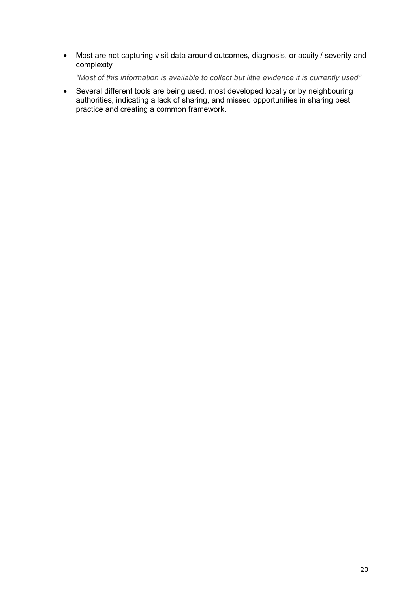Most are not capturing visit data around outcomes, diagnosis, or acuity / severity and complexity

*"Most of this information is available to collect but little evidence it is currently used"* 

 Several different tools are being used, most developed locally or by neighbouring authorities, indicating a lack of sharing, and missed opportunities in sharing best practice and creating a common framework.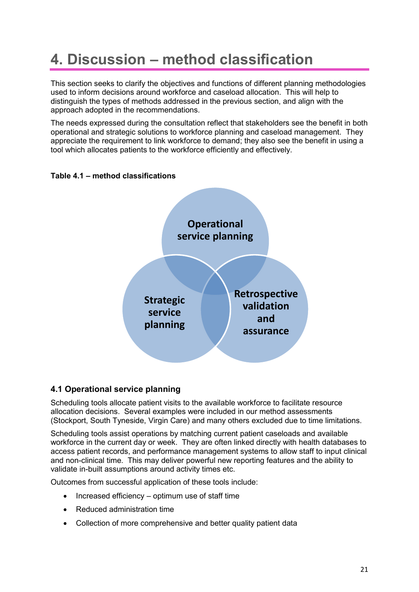# **4. Discussion – method classification**

This section seeks to clarify the objectives and functions of different planning methodologies used to inform decisions around workforce and caseload allocation. This will help to distinguish the types of methods addressed in the previous section, and align with the approach adopted in the recommendations.

The needs expressed during the consultation reflect that stakeholders see the benefit in both operational and strategic solutions to workforce planning and caseload management. They appreciate the requirement to link workforce to demand; they also see the benefit in using a tool which allocates patients to the workforce efficiently and effectively.



### **Table 4.1 – method classifications**

### **4.1 Operational service planning**

Scheduling tools allocate patient visits to the available workforce to facilitate resource allocation decisions. Several examples were included in our method assessments (Stockport, South Tyneside, Virgin Care) and many others excluded due to time limitations.

Scheduling tools assist operations by matching current patient caseloads and available workforce in the current day or week. They are often linked directly with health databases to access patient records, and performance management systems to allow staff to input clinical and non-clinical time. This may deliver powerful new reporting features and the ability to validate in-built assumptions around activity times etc.

Outcomes from successful application of these tools include:

- $\bullet$  Increased efficiency optimum use of staff time
- Reduced administration time
- Collection of more comprehensive and better quality patient data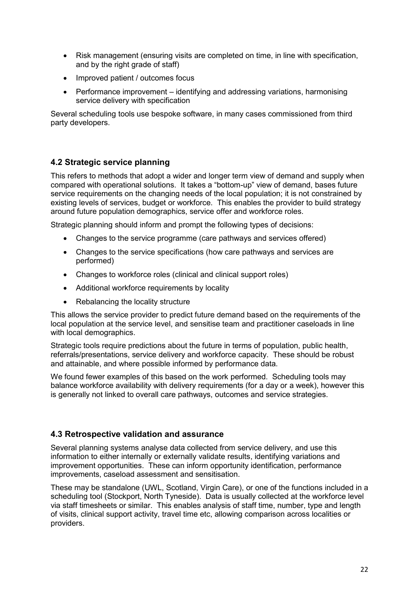- Risk management (ensuring visits are completed on time, in line with specification, and by the right grade of staff)
- Improved patient / outcomes focus
- Performance improvement identifying and addressing variations, harmonising service delivery with specification

Several scheduling tools use bespoke software, in many cases commissioned from third party developers.

### **4.2 Strategic service planning**

This refers to methods that adopt a wider and longer term view of demand and supply when compared with operational solutions. It takes a "bottom-up" view of demand, bases future service requirements on the changing needs of the local population; it is not constrained by existing levels of services, budget or workforce. This enables the provider to build strategy around future population demographics, service offer and workforce roles.

Strategic planning should inform and prompt the following types of decisions:

- Changes to the service programme (care pathways and services offered)
- Changes to the service specifications (how care pathways and services are performed)
- Changes to workforce roles (clinical and clinical support roles)
- Additional workforce requirements by locality
- Rebalancing the locality structure

This allows the service provider to predict future demand based on the requirements of the local population at the service level, and sensitise team and practitioner caseloads in line with local demographics.

Strategic tools require predictions about the future in terms of population, public health, referrals/presentations, service delivery and workforce capacity. These should be robust and attainable, and where possible informed by performance data.

We found fewer examples of this based on the work performed. Scheduling tools may balance workforce availability with delivery requirements (for a day or a week), however this is generally not linked to overall care pathways, outcomes and service strategies.

### **4.3 Retrospective validation and assurance**

Several planning systems analyse data collected from service delivery, and use this information to either internally or externally validate results, identifying variations and improvement opportunities. These can inform opportunity identification, performance improvements, caseload assessment and sensitisation.

These may be standalone (UWL, Scotland, Virgin Care), or one of the functions included in a scheduling tool (Stockport, North Tyneside). Data is usually collected at the workforce level via staff timesheets or similar. This enables analysis of staff time, number, type and length of visits, clinical support activity, travel time etc, allowing comparison across localities or providers.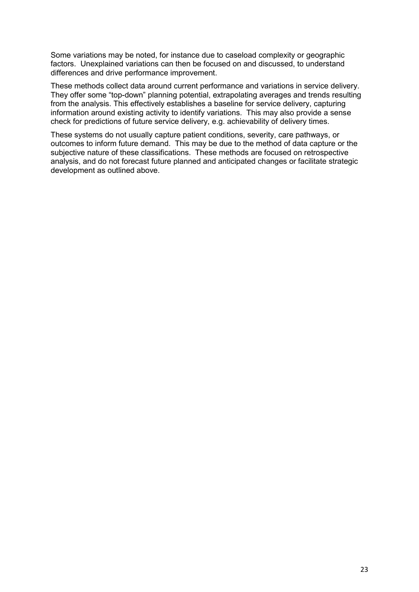Some variations may be noted, for instance due to caseload complexity or geographic factors. Unexplained variations can then be focused on and discussed, to understand differences and drive performance improvement.

These methods collect data around current performance and variations in service delivery. They offer some "top-down" planning potential, extrapolating averages and trends resulting from the analysis. This effectively establishes a baseline for service delivery, capturing information around existing activity to identify variations. This may also provide a sense check for predictions of future service delivery, e.g. achievability of delivery times.

These systems do not usually capture patient conditions, severity, care pathways, or outcomes to inform future demand. This may be due to the method of data capture or the subjective nature of these classifications. These methods are focused on retrospective analysis, and do not forecast future planned and anticipated changes or facilitate strategic development as outlined above.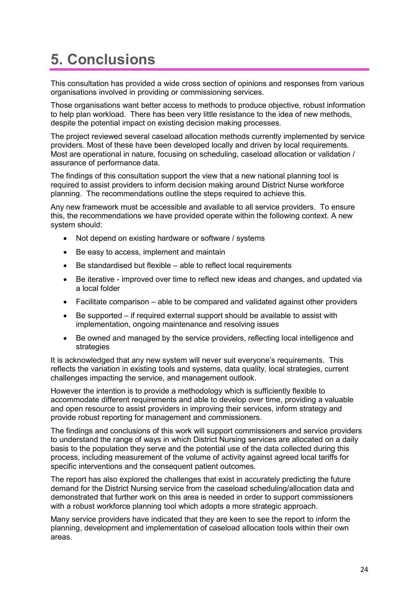# **5. Conclusions**

This consultation has provided a wide cross section of opinions and responses from various organisations involved in providing or commissioning services.

Those organisations want better access to methods to produce objective, robust information to help plan workload. There has been very little resistance to the idea of new methods, despite the potential impact on existing decision making processes.

The project reviewed several caseload allocation methods currently implemented by service providers. Most of these have been developed locally and driven by local requirements. Most are operational in nature, focusing on scheduling, caseload allocation or validation / assurance of performance data.

The findings of this consultation support the view that a new national planning tool is required to assist providers to inform decision making around District Nurse workforce planning. The recommendations outline the steps required to achieve this.

Any new framework must be accessible and available to all service providers. To ensure this, the recommendations we have provided operate within the following context. A new system should:

- Not depend on existing hardware or software / systems
- Be easy to access, implement and maintain
- Be standardised but flexible able to reflect local requirements
- Be iterative improved over time to reflect new ideas and changes, and updated via a local folder
- Facilitate comparison able to be compared and validated against other providers
- Be supported if required external support should be available to assist with implementation, ongoing maintenance and resolving issues
- Be owned and managed by the service providers, reflecting local intelligence and strategies

It is acknowledged that any new system will never suit everyone's requirements. This reflects the variation in existing tools and systems, data quality, local strategies, current challenges impacting the service, and management outlook.

However the intention is to provide a methodology which is sufficiently flexible to accommodate different requirements and able to develop over time, providing a valuable and open resource to assist providers in improving their services, inform strategy and provide robust reporting for management and commissioners.

The findings and conclusions of this work will support commissioners and service providers to understand the range of ways in which District Nursing services are allocated on a daily basis to the population they serve and the potential use of the data collected during this process, including measurement of the volume of activity against agreed local tariffs for specific interventions and the consequent patient outcomes.

The report has also explored the challenges that exist in accurately predicting the future demand for the District Nursing service from the caseload scheduling/allocation data and demonstrated that further work on this area is needed in order to support commissioners with a robust workforce planning tool which adopts a more strategic approach.

Many service providers have indicated that they are keen to see the report to inform the planning, development and implementation of caseload allocation tools within their own areas.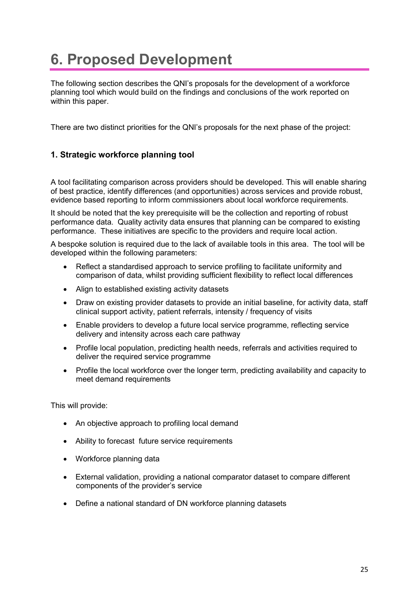# **6. Proposed Development**

The following section describes the QNI's proposals for the development of a workforce planning tool which would build on the findings and conclusions of the work reported on within this paper.

There are two distinct priorities for the QNI's proposals for the next phase of the project:

## **1. Strategic workforce planning tool**

A tool facilitating comparison across providers should be developed. This will enable sharing of best practice, identify differences (and opportunities) across services and provide robust, evidence based reporting to inform commissioners about local workforce requirements.

It should be noted that the key prerequisite will be the collection and reporting of robust performance data. Quality activity data ensures that planning can be compared to existing performance. These initiatives are specific to the providers and require local action.

A bespoke solution is required due to the lack of available tools in this area. The tool will be developed within the following parameters:

- Reflect a standardised approach to service profiling to facilitate uniformity and comparison of data, whilst providing sufficient flexibility to reflect local differences
- Align to established existing activity datasets
- Draw on existing provider datasets to provide an initial baseline, for activity data, staff clinical support activity, patient referrals, intensity / frequency of visits
- Enable providers to develop a future local service programme, reflecting service delivery and intensity across each care pathway
- Profile local population, predicting health needs, referrals and activities required to deliver the required service programme
- Profile the local workforce over the longer term, predicting availability and capacity to meet demand requirements

This will provide:

- An objective approach to profiling local demand
- Ability to forecast future service requirements
- Workforce planning data
- External validation, providing a national comparator dataset to compare different components of the provider's service
- Define a national standard of DN workforce planning datasets